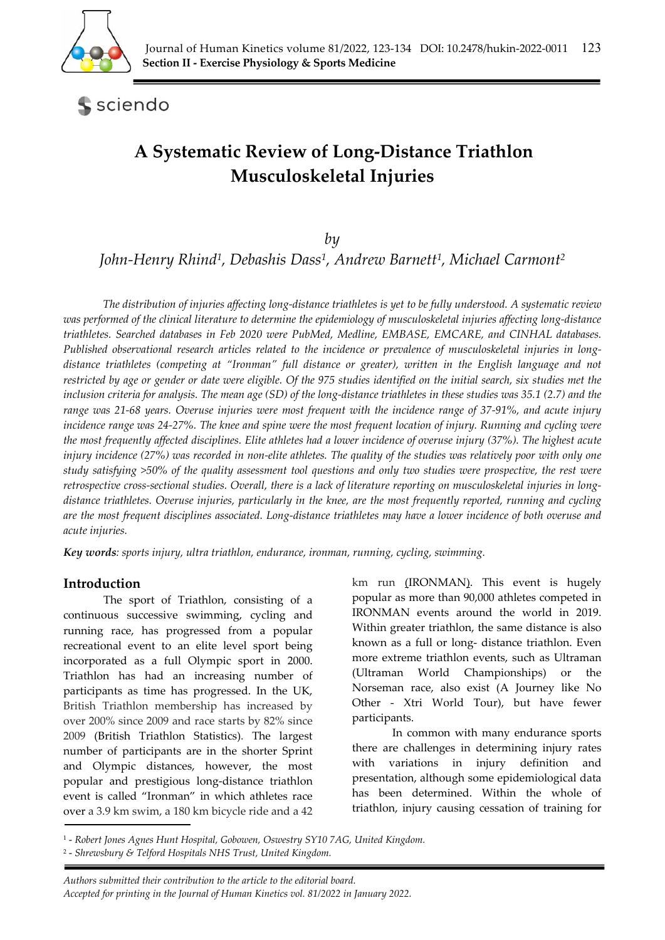

sciendo

# **A Systematic Review of Long‐Distance Triathlon Musculoskeletal Injuries**

# *by*

*John-Henry Rhind1, Debashis Dass1, Andrew Barnett1, Michael Carmont2*

*The distribution of injuries affecting long-distance triathletes is yet to be fully understood. A systematic review was performed of the clinical literature to determine the epidemiology of musculoskeletal injuries affecting long-distance triathletes. Searched databases in Feb 2020 were PubMed, Medline, EMBASE, EMCARE, and CINHAL databases. Published observational research articles related to the incidence or prevalence of musculoskeletal injuries in longdistance triathletes (competing at "Ironman" full distance or greater), written in the English language and not restricted by age or gender or date were eligible. Of the 975 studies identified on the initial search, six studies met the inclusion criteria for analysis. The mean age (SD) of the long-distance triathletes in these studies was 35.1 (2.7) and the range was 21-68 years. Overuse injuries were most frequent with the incidence range of 37-91%, and acute injury incidence range was 24-27%. The knee and spine were the most frequent location of injury. Running and cycling were the most frequently affected disciplines. Elite athletes had a lower incidence of overuse injury (37%). The highest acute injury incidence (27%) was recorded in non-elite athletes. The quality of the studies was relatively poor with only one study satisfying >50% of the quality assessment tool questions and only two studies were prospective, the rest were retrospective cross-sectional studies. Overall, there is a lack of literature reporting on musculoskeletal injuries in longdistance triathletes. Overuse injuries, particularly in the knee, are the most frequently reported, running and cycling are the most frequent disciplines associated. Long-distance triathletes may have a lower incidence of both overuse and acute injuries.* 

*Key words: sports injury, ultra triathlon, endurance, ironman, running, cycling, swimming.* 

# **Introduction**

The sport of Triathlon, consisting of a continuous successive swimming, cycling and running race, has progressed from a popular recreational event to an elite level sport being incorporated as a full Olympic sport in 2000. Triathlon has had an increasing number of participants as time has progressed. In the UK, British Triathlon membership has increased by over 200% since 2009 and race starts by 82% since 2009 (British Triathlon Statistics). The largest number of participants are in the shorter Sprint and Olympic distances, however, the most popular and prestigious long-distance triathlon event is called "Ironman" in which athletes race over a 3.9 km swim, a 180 km bicycle ride and a 42 km run (IRONMAN). This event is hugely popular as more than 90,000 athletes competed in IRONMAN events around the world in 2019. Within greater triathlon, the same distance is also known as a full or long- distance triathlon. Even more extreme triathlon events, such as Ultraman (Ultraman World Championships) or the Norseman race, also exist (A Journey like No Other - Xtri World Tour), but have fewer participants.

In common with many endurance sports there are challenges in determining injury rates with variations in injury definition and presentation, although some epidemiological data has been determined. Within the whole of triathlon, injury causing cessation of training for

<sup>1 -</sup> *Robert Jones Agnes Hunt Hospital, Gobowen, Oswestry SY10 7AG, United Kingdom.* 

<sup>2 -</sup> *Shrewsbury & Telford Hospitals NHS Trust, United Kingdom.*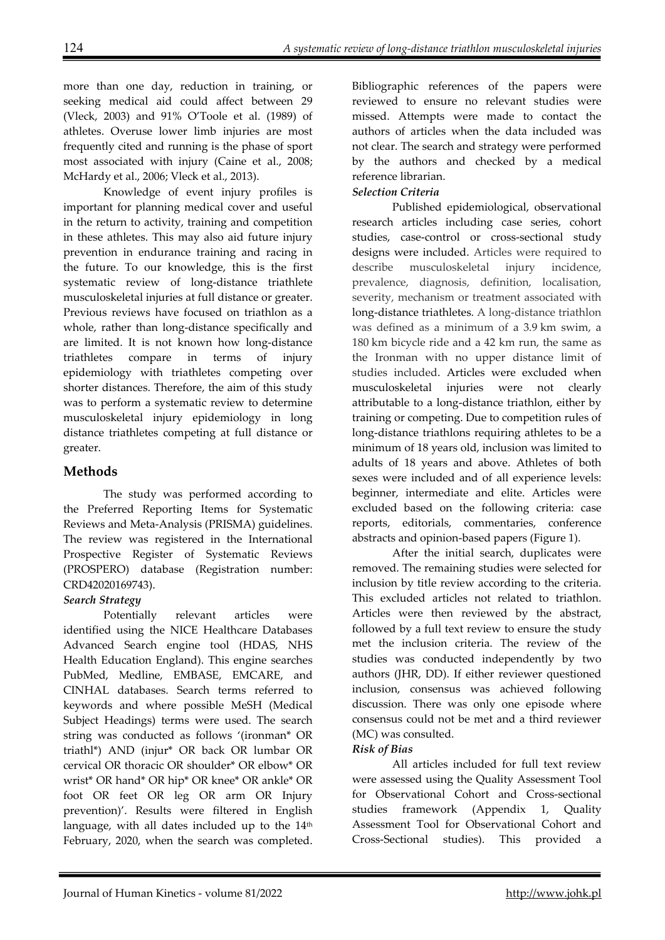more than one day, reduction in training, or seeking medical aid could affect between 29 (Vleck, 2003) and 91% O'Toole et al. (1989) of athletes. Overuse lower limb injuries are most frequently cited and running is the phase of sport most associated with injury (Caine et al., 2008; McHardy et al., 2006; Vleck et al., 2013).

Knowledge of event injury profiles is important for planning medical cover and useful in the return to activity, training and competition in these athletes. This may also aid future injury prevention in endurance training and racing in the future. To our knowledge, this is the first systematic review of long-distance triathlete musculoskeletal injuries at full distance or greater. Previous reviews have focused on triathlon as a whole, rather than long-distance specifically and are limited. It is not known how long-distance triathletes compare in terms of injury epidemiology with triathletes competing over shorter distances. Therefore, the aim of this study was to perform a systematic review to determine musculoskeletal injury epidemiology in long distance triathletes competing at full distance or greater.

# **Methods**

The study was performed according to the Preferred Reporting Items for Systematic Reviews and Meta-Analysis (PRISMA) guidelines. The review was registered in the International Prospective Register of Systematic Reviews (PROSPERO) database (Registration number: CRD42020169743).

## *Search Strategy*

Potentially relevant articles were identified using the NICE Healthcare Databases Advanced Search engine tool (HDAS, NHS Health Education England). This engine searches PubMed, Medline, EMBASE, EMCARE, and CINHAL databases. Search terms referred to keywords and where possible MeSH (Medical Subject Headings) terms were used. The search string was conducted as follows '(ironman\* OR triathl\*) AND (injur\* OR back OR lumbar OR cervical OR thoracic OR shoulder\* OR elbow\* OR wrist\* OR hand\* OR hip\* OR knee\* OR ankle\* OR foot OR feet OR leg OR arm OR Injury prevention)'. Results were filtered in English language, with all dates included up to the 14<sup>th</sup> February, 2020, when the search was completed. Bibliographic references of the papers were reviewed to ensure no relevant studies were missed. Attempts were made to contact the authors of articles when the data included was not clear. The search and strategy were performed by the authors and checked by a medical reference librarian.

## *Selection Criteria*

Published epidemiological, observational research articles including case series, cohort studies, case-control or cross-sectional study designs were included. Articles were required to describe musculoskeletal injury incidence, prevalence, diagnosis, definition, localisation, severity, mechanism or treatment associated with long-distance triathletes. A long-distance triathlon was defined as a minimum of a 3.9 km swim, a 180 km bicycle ride and a 42 km run, the same as the Ironman with no upper distance limit of studies included. Articles were excluded when musculoskeletal injuries were not clearly attributable to a long-distance triathlon, either by training or competing. Due to competition rules of long-distance triathlons requiring athletes to be a minimum of 18 years old, inclusion was limited to adults of 18 years and above. Athletes of both sexes were included and of all experience levels: beginner, intermediate and elite. Articles were excluded based on the following criteria: case reports, editorials, commentaries, conference abstracts and opinion-based papers (Figure 1).

After the initial search, duplicates were removed. The remaining studies were selected for inclusion by title review according to the criteria. This excluded articles not related to triathlon. Articles were then reviewed by the abstract, followed by a full text review to ensure the study met the inclusion criteria. The review of the studies was conducted independently by two authors (JHR, DD). If either reviewer questioned inclusion, consensus was achieved following discussion. There was only one episode where consensus could not be met and a third reviewer (MC) was consulted.

#### *Risk of Bias*

All articles included for full text review were assessed using the Quality Assessment Tool for Observational Cohort and Cross-sectional studies framework (Appendix 1, Quality Assessment Tool for Observational Cohort and Cross-Sectional studies). This provided a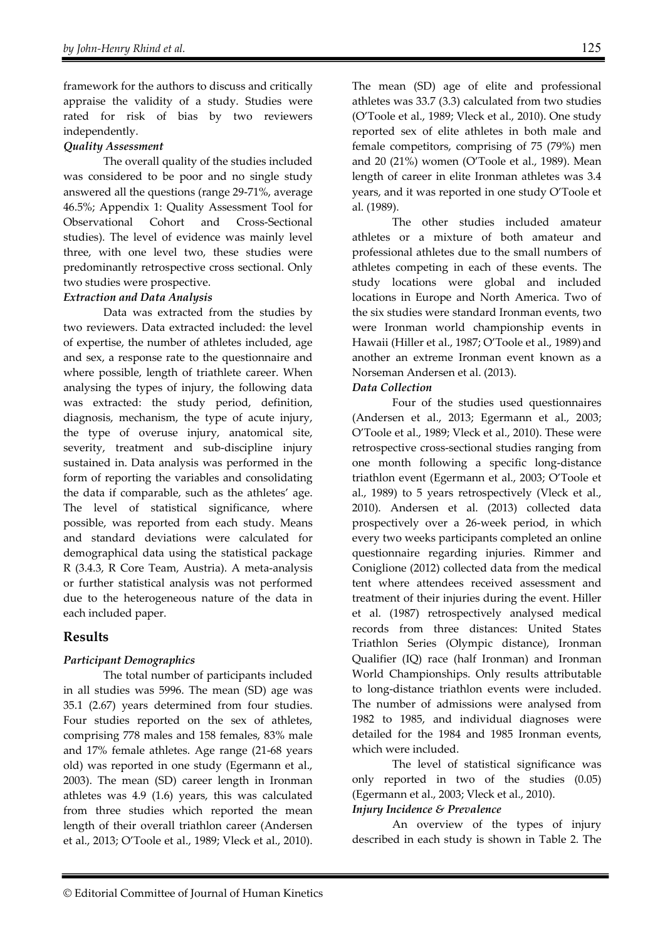framework for the authors to discuss and critically appraise the validity of a study. Studies were rated for risk of bias by two reviewers independently.

#### *Quality Assessment*

The overall quality of the studies included was considered to be poor and no single study answered all the questions (range 29-71%, average 46.5%; Appendix 1: Quality Assessment Tool for Observational Cohort and Cross-Sectional studies). The level of evidence was mainly level three, with one level two, these studies were predominantly retrospective cross sectional. Only two studies were prospective.

#### *Extraction and Data Analysis*

Data was extracted from the studies by two reviewers. Data extracted included: the level of expertise, the number of athletes included, age and sex, a response rate to the questionnaire and where possible, length of triathlete career. When analysing the types of injury, the following data was extracted: the study period, definition, diagnosis, mechanism, the type of acute injury, the type of overuse injury, anatomical site, severity, treatment and sub-discipline injury sustained in. Data analysis was performed in the form of reporting the variables and consolidating the data if comparable, such as the athletes' age. The level of statistical significance, where possible, was reported from each study. Means and standard deviations were calculated for demographical data using the statistical package R (3.4.3, R Core Team, Austria). A meta-analysis or further statistical analysis was not performed due to the heterogeneous nature of the data in each included paper.

## **Results**

## *Participant Demographics*

The total number of participants included in all studies was 5996. The mean (SD) age was 35.1 (2.67) years determined from four studies. Four studies reported on the sex of athletes, comprising 778 males and 158 females, 83% male and 17% female athletes. Age range (21-68 years old) was reported in one study (Egermann et al., 2003). The mean (SD) career length in Ironman athletes was 4.9 (1.6) years, this was calculated from three studies which reported the mean length of their overall triathlon career (Andersen et al., 2013; O'Toole et al., 1989; Vleck et al., 2010). The mean (SD) age of elite and professional athletes was 33.7 (3.3) calculated from two studies (O'Toole et al., 1989; Vleck et al., 2010). One study reported sex of elite athletes in both male and female competitors, comprising of 75 (79%) men and 20 (21%) women (O'Toole et al., 1989). Mean length of career in elite Ironman athletes was 3.4 years, and it was reported in one study O'Toole et al. (1989).

The other studies included amateur athletes or a mixture of both amateur and professional athletes due to the small numbers of athletes competing in each of these events. The study locations were global and included locations in Europe and North America. Two of the six studies were standard Ironman events, two were Ironman world championship events in Hawaii (Hiller et al., 1987; O'Toole et al., 1989) and another an extreme Ironman event known as a Norseman Andersen et al. (2013).

### *Data Collection*

Four of the studies used questionnaires (Andersen et al., 2013; Egermann et al., 2003; O'Toole et al., 1989; Vleck et al., 2010). These were retrospective cross-sectional studies ranging from one month following a specific long-distance triathlon event (Egermann et al., 2003; O'Toole et al., 1989) to 5 years retrospectively (Vleck et al., 2010). Andersen et al. (2013) collected data prospectively over a 26-week period, in which every two weeks participants completed an online questionnaire regarding injuries. Rimmer and Coniglione (2012) collected data from the medical tent where attendees received assessment and treatment of their injuries during the event. Hiller et al. (1987) retrospectively analysed medical records from three distances: United States Triathlon Series (Olympic distance), Ironman Qualifier (IQ) race (half Ironman) and Ironman World Championships. Only results attributable to long-distance triathlon events were included. The number of admissions were analysed from 1982 to 1985, and individual diagnoses were detailed for the 1984 and 1985 Ironman events, which were included.

The level of statistical significance was only reported in two of the studies (0.05) (Egermann et al., 2003; Vleck et al., 2010).

#### *Injury Incidence & Prevalence*

An overview of the types of injury described in each study is shown in Table 2. The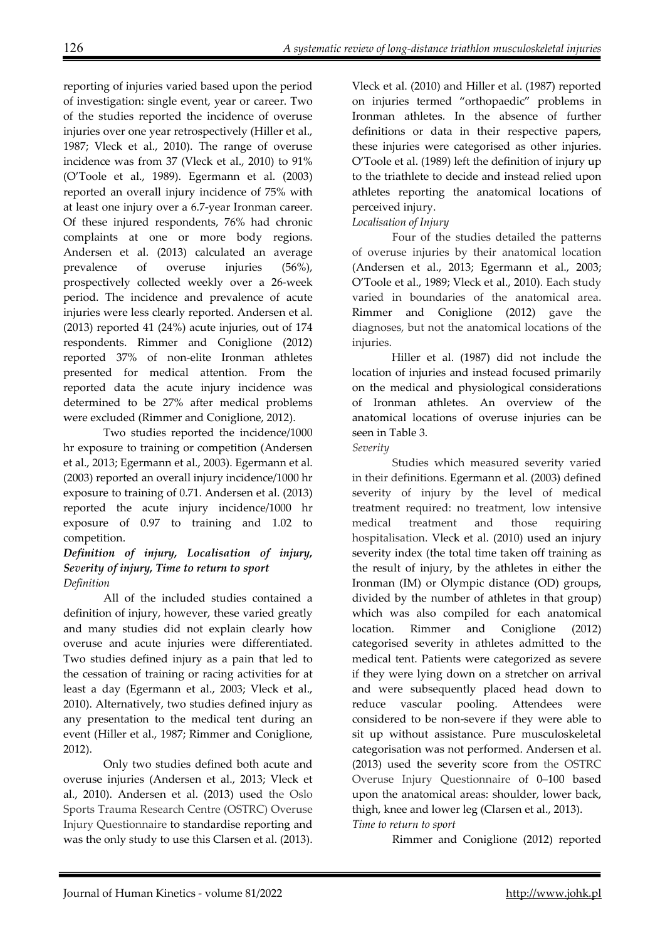reporting of injuries varied based upon the period of investigation: single event, year or career. Two of the studies reported the incidence of overuse injuries over one year retrospectively (Hiller et al., 1987; Vleck et al., 2010). The range of overuse incidence was from 37 (Vleck et al., 2010) to 91% (O'Toole et al., 1989). Egermann et al. (2003) reported an overall injury incidence of 75% with at least one injury over a 6.7-year Ironman career. Of these injured respondents, 76% had chronic complaints at one or more body regions. Andersen et al. (2013) calculated an average prevalence of overuse injuries (56%), prospectively collected weekly over a 26-week period. The incidence and prevalence of acute injuries were less clearly reported. Andersen et al. (2013) reported 41 (24%) acute injuries, out of 174 respondents. Rimmer and Coniglione (2012) reported 37% of non-elite Ironman athletes presented for medical attention. From the reported data the acute injury incidence was determined to be 27% after medical problems were excluded (Rimmer and Coniglione, 2012).

Two studies reported the incidence/1000 hr exposure to training or competition (Andersen et al., 2013; Egermann et al., 2003). Egermann et al. (2003) reported an overall injury incidence/1000 hr exposure to training of 0.71. Andersen et al. (2013) reported the acute injury incidence/1000 hr exposure of 0.97 to training and 1.02 to competition.

*Definition of injury, Localisation of injury, Severity of injury, Time to return to sport Definition* 

All of the included studies contained a definition of injury, however, these varied greatly and many studies did not explain clearly how overuse and acute injuries were differentiated. Two studies defined injury as a pain that led to the cessation of training or racing activities for at least a day (Egermann et al., 2003; Vleck et al., 2010). Alternatively, two studies defined injury as any presentation to the medical tent during an event (Hiller et al., 1987; Rimmer and Coniglione, 2012).

Only two studies defined both acute and overuse injuries (Andersen et al., 2013; Vleck et al., 2010). Andersen et al. (2013) used the Oslo Sports Trauma Research Centre (OSTRC) Overuse Injury Questionnaire to standardise reporting and was the only study to use this Clarsen et al. (2013).

Vleck et al. (2010) and Hiller et al. (1987) reported on injuries termed "orthopaedic" problems in Ironman athletes. In the absence of further definitions or data in their respective papers, these injuries were categorised as other injuries. O'Toole et al. (1989) left the definition of injury up to the triathlete to decide and instead relied upon athletes reporting the anatomical locations of perceived injury.

#### *Localisation of Injury*

Four of the studies detailed the patterns of overuse injuries by their anatomical location (Andersen et al., 2013; Egermann et al., 2003; O'Toole et al., 1989; Vleck et al., 2010). Each study varied in boundaries of the anatomical area. Rimmer and Coniglione (2012) gave the diagnoses, but not the anatomical locations of the injuries.

 Hiller et al. (1987) did not include the location of injuries and instead focused primarily on the medical and physiological considerations of Ironman athletes. An overview of the anatomical locations of overuse injuries can be seen in Table 3.

#### *Severity*

Studies which measured severity varied in their definitions. Egermann et al. (2003) defined severity of injury by the level of medical treatment required: no treatment, low intensive medical treatment and those requiring hospitalisation. Vleck et al. (2010) used an injury severity index (the total time taken off training as the result of injury, by the athletes in either the Ironman (IM) or Olympic distance (OD) groups, divided by the number of athletes in that group) which was also compiled for each anatomical location. Rimmer and Coniglione (2012) categorised severity in athletes admitted to the medical tent. Patients were categorized as severe if they were lying down on a stretcher on arrival and were subsequently placed head down to reduce vascular pooling. Attendees were considered to be non-severe if they were able to sit up without assistance. Pure musculoskeletal categorisation was not performed. Andersen et al. (2013) used the severity score from the OSTRC Overuse Injury Questionnaire of 0–100 based upon the anatomical areas: shoulder, lower back, thigh, knee and lower leg (Clarsen et al., 2013).

#### *Time to return to sport*

Rimmer and Coniglione (2012) reported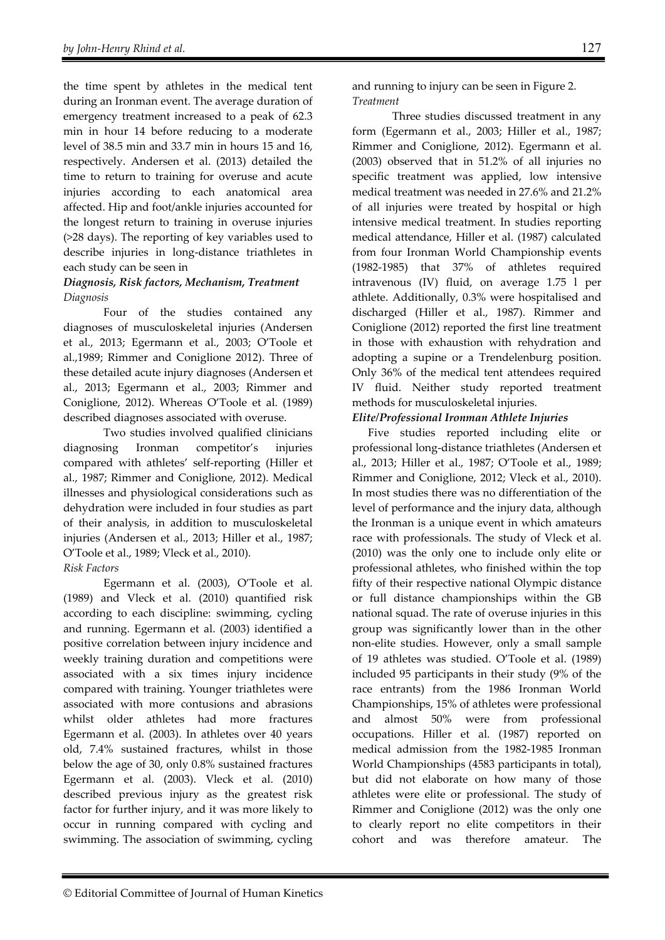the time spent by athletes in the medical tent during an Ironman event. The average duration of emergency treatment increased to a peak of 62.3 min in hour 14 before reducing to a moderate level of 38.5 min and 33.7 min in hours 15 and 16, respectively. Andersen et al. (2013) detailed the time to return to training for overuse and acute injuries according to each anatomical area affected. Hip and foot/ankle injuries accounted for the longest return to training in overuse injuries (>28 days). The reporting of key variables used to describe injuries in long-distance triathletes in each study can be seen in

#### *Diagnosis, Risk factors, Mechanism, Treatment Diagnosis*

Four of the studies contained any diagnoses of musculoskeletal injuries (Andersen et al., 2013; Egermann et al., 2003; O'Toole et al.,1989; Rimmer and Coniglione 2012). Three of these detailed acute injury diagnoses (Andersen et al., 2013; Egermann et al., 2003; Rimmer and Coniglione, 2012). Whereas O'Toole et al. (1989) described diagnoses associated with overuse.

Two studies involved qualified clinicians diagnosing Ironman competitor's injuries compared with athletes' self-reporting (Hiller et al., 1987; Rimmer and Coniglione, 2012). Medical illnesses and physiological considerations such as dehydration were included in four studies as part of their analysis, in addition to musculoskeletal injuries (Andersen et al., 2013; Hiller et al., 1987; O'Toole et al., 1989; Vleck et al., 2010).

#### *Risk Factors*

Egermann et al. (2003), O'Toole et al. (1989) and Vleck et al. (2010) quantified risk according to each discipline: swimming, cycling and running. Egermann et al. (2003) identified a positive correlation between injury incidence and weekly training duration and competitions were associated with a six times injury incidence compared with training. Younger triathletes were associated with more contusions and abrasions whilst older athletes had more fractures Egermann et al. (2003). In athletes over 40 years old, 7.4% sustained fractures, whilst in those below the age of 30, only 0.8% sustained fractures Egermann et al. (2003). Vleck et al. (2010) described previous injury as the greatest risk factor for further injury, and it was more likely to occur in running compared with cycling and swimming. The association of swimming, cycling and running to injury can be seen in Figure 2. *Treatment* 

Three studies discussed treatment in any form (Egermann et al., 2003; Hiller et al., 1987; Rimmer and Coniglione, 2012). Egermann et al. (2003) observed that in 51.2% of all injuries no specific treatment was applied, low intensive medical treatment was needed in 27.6% and 21.2% of all injuries were treated by hospital or high intensive medical treatment. In studies reporting medical attendance, Hiller et al. (1987) calculated from four Ironman World Championship events (1982-1985) that 37% of athletes required intravenous (IV) fluid, on average 1.75 l per athlete. Additionally, 0.3% were hospitalised and discharged (Hiller et al., 1987). Rimmer and Coniglione (2012) reported the first line treatment in those with exhaustion with rehydration and adopting a supine or a Trendelenburg position. Only 36% of the medical tent attendees required IV fluid. Neither study reported treatment methods for musculoskeletal injuries.

#### *Elite/Professional Ironman Athlete Injuries*

Five studies reported including elite or professional long-distance triathletes (Andersen et al., 2013; Hiller et al., 1987; O'Toole et al., 1989; Rimmer and Coniglione, 2012; Vleck et al., 2010). In most studies there was no differentiation of the level of performance and the injury data, although the Ironman is a unique event in which amateurs race with professionals. The study of Vleck et al. (2010) was the only one to include only elite or professional athletes, who finished within the top fifty of their respective national Olympic distance or full distance championships within the GB national squad. The rate of overuse injuries in this group was significantly lower than in the other non-elite studies. However, only a small sample of 19 athletes was studied. O'Toole et al. (1989) included 95 participants in their study (9% of the race entrants) from the 1986 Ironman World Championships, 15% of athletes were professional and almost 50% were from professional occupations. Hiller et al. (1987) reported on medical admission from the 1982-1985 Ironman World Championships (4583 participants in total), but did not elaborate on how many of those athletes were elite or professional. The study of Rimmer and Coniglione (2012) was the only one to clearly report no elite competitors in their cohort and was therefore amateur. The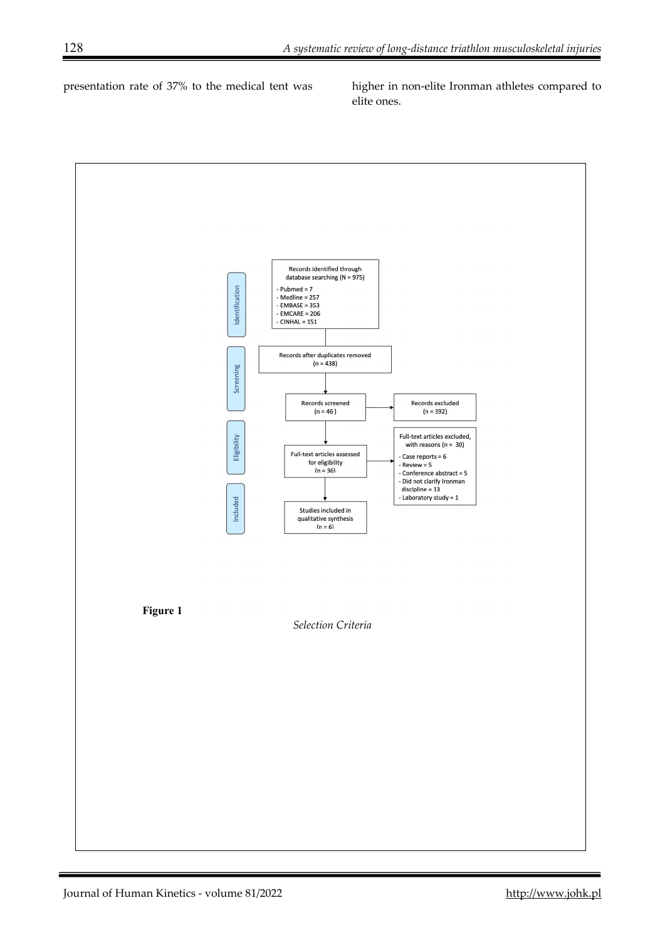presentation rate of 37% to the medical tent was higher in non-elite Ironman athletes compared to

elite ones.

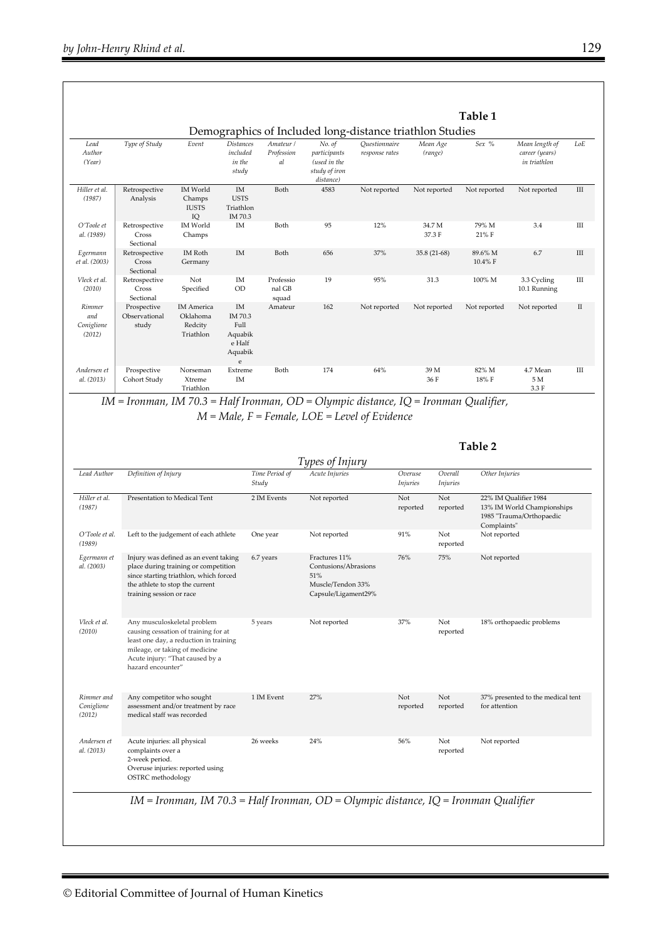|                                       |                                                         |                                                                                                                                                                                    |                                                            |                               |                                                                                          |                                                                                             |                            |                            | Table 1                     |                                                                                 |           |
|---------------------------------------|---------------------------------------------------------|------------------------------------------------------------------------------------------------------------------------------------------------------------------------------------|------------------------------------------------------------|-------------------------------|------------------------------------------------------------------------------------------|---------------------------------------------------------------------------------------------|----------------------------|----------------------------|-----------------------------|---------------------------------------------------------------------------------|-----------|
| Lead<br>Author<br>(Year)              | Type of Study                                           | Event                                                                                                                                                                              | <b>Distances</b><br>included<br>in the<br>study            | Amateur /<br>Profession<br>al | No. of<br>participants<br>(used in the<br>study of iron<br>distance)                     | Demographics of Included long-distance triathlon Studies<br>Questionnaire<br>response rates | Mean Age<br>(range)        |                            | Sex $%$                     | Mean length of<br>career (years)<br>in triathlon                                | LoE       |
| Hiller et al.<br>(1987)               | Retrospective<br>Analysis                               | IM World<br>Champs<br><b>IUSTS</b><br>IQ                                                                                                                                           | IM<br><b>USTS</b><br>Triathlon<br>IM 70.3                  | Both                          | 4583                                                                                     | Not reported                                                                                | Not reported               |                            | Not reported                | Not reported                                                                    | $\rm III$ |
| O'Toole et<br>al. (1989)              | Retrospective<br>Cross<br>Sectional                     | <b>IM</b> World<br>Champs                                                                                                                                                          | IM                                                         | Both                          | 95                                                                                       | 12%                                                                                         | 34.7 M<br>37.3 F           |                            | 79% M<br>21% F              | 3.4                                                                             | Ш         |
| Egermann<br>et al. (2003)             | Retrospective<br>Cross<br>Sectional                     | IM Roth<br>Germany                                                                                                                                                                 | IM                                                         | Both                          | 656                                                                                      | 37%                                                                                         | 35.8 (21-68)               |                            | 89.6% M<br>10.4% F          | 6.7                                                                             | Ш         |
| Vleck et al.<br>(2010)                | Retrospective<br>Cross<br>Sectional                     | Not<br>Specified                                                                                                                                                                   | ΙM<br>OD                                                   | Professio<br>nal GB<br>squad  | 19                                                                                       | 95%                                                                                         | 31.3                       |                            | 100% M                      | 3.3 Cycling<br>10.1 Running                                                     | Ш         |
| Rimmer<br>and<br>Coniglione<br>(2012) | Prospective<br>Observational<br>study                   | <b>IM</b> America<br>Oklahoma<br>Redcity<br>Triathlon                                                                                                                              | IM<br>IM 70.3<br>Full<br>Aquabik<br>e Half<br>Aquabik<br>e | Amateur                       | 162                                                                                      | Not reported                                                                                | Not reported               |                            | Not reported                | Not reported                                                                    | П         |
| Andersen et<br>al. (2013)             | Prospective<br>Cohort Study                             | Norseman<br>Xtreme<br>Triathlon                                                                                                                                                    | Extreme<br>IM                                              | Both                          | 174                                                                                      | 64%                                                                                         | 39 M<br>36 F               |                            | 82% M<br>18% F              | 4.7 Mean<br>5 M<br>3.3 F                                                        | Ш         |
| Lead Author                           | Definition of Injury                                    |                                                                                                                                                                                    |                                                            |                               |                                                                                          |                                                                                             |                            |                            |                             |                                                                                 |           |
|                                       |                                                         |                                                                                                                                                                                    |                                                            | Time Period of<br>Study       | Types of Injury<br>Acute Injuries                                                        |                                                                                             | Overuse<br><i>Injuries</i> | Overall<br><i>Injuries</i> | Table 2<br>Other Injuries   |                                                                                 |           |
| Hiller et al.<br>(1987)               | Presentation to Medical Tent                            |                                                                                                                                                                                    |                                                            | 2 IM Events                   | Not reported                                                                             |                                                                                             | Not<br>reported            | Not<br>reported            |                             | 22% IM Qualifier 1984<br>13% IM World Championships<br>1985 "Trauma/Orthopaedic |           |
| O'Toole et al.<br>(1989)              |                                                         | Left to the judgement of each athlete                                                                                                                                              |                                                            | One year                      | Not reported                                                                             |                                                                                             | 91%                        | Not<br>reported            | Complaints"<br>Not reported |                                                                                 |           |
| Egermann et<br>al. (2003)             | training session or race                                | Injury was defined as an event taking<br>place during training or competition<br>since starting triathlon, which forced<br>the athlete to stop the current                         |                                                            | 6.7 years                     | Fractures 11%<br>Contusions/Abrasions<br>51%<br>Muscle/Tendon 33%<br>Capsule/Ligament29% |                                                                                             | 76%                        | 75%                        | Not reported                |                                                                                 |           |
| Vleck et al.<br>(2010)                | hazard encounter"                                       | Any musculoskeletal problem<br>causing cessation of training for at<br>least one day, a reduction in training<br>mileage, or taking of medicine<br>Acute injury: "That caused by a |                                                            | 5 years                       | Not reported                                                                             |                                                                                             | 37%                        | Not<br>reported            |                             | 18% orthopaedic problems                                                        |           |
| Rimmer and<br>Coniglione<br>(2012)    | Any competitor who sought<br>medical staff was recorded | assessment and/or treatment by race                                                                                                                                                |                                                            | 1 IM Event                    | 27%                                                                                      |                                                                                             | Not<br>reported            | Not<br>reported            | for attention               | 37% presented to the medical tent                                               |           |

*IM = Ironman, IM 70.3 = Half Ironman, OD = Olympic distance, IQ = Ironman Qualifier* 

complaints over a 2-week period.

Overuse injuries: reported using OSTRC methodology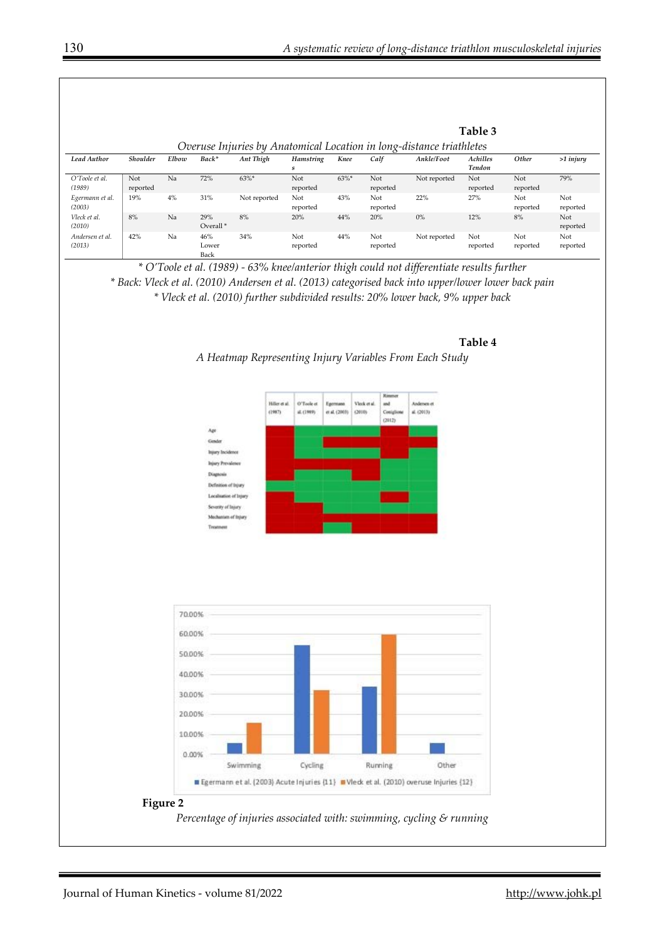| Lead Author               | Shoulder        | Elbow | Back*                       | Ant Thigh    | Hamstring<br>$\boldsymbol{s}$ | Knee     | Calf            | Ankle/Foot                                                                                                                                                                                        | Achilles<br>Tendon | Other           | $>1$ injury     |
|---------------------------|-----------------|-------|-----------------------------|--------------|-------------------------------|----------|-----------------|---------------------------------------------------------------------------------------------------------------------------------------------------------------------------------------------------|--------------------|-----------------|-----------------|
| O'Toole et al.<br>(1989)  | Not<br>reported | Na    | 72%                         | $63\%$ *     | Not<br>reported               | $63\%$ * | Not<br>reported | Not reported                                                                                                                                                                                      | Not<br>reported    | Not<br>reported | 79%             |
| Egermann et al.<br>(2003) | 19%             | $4\%$ | 31%                         | Not reported | Not<br>reported               | 43%      | Not<br>reported | 22%                                                                                                                                                                                               | 27%                | Not<br>reported | Not<br>reported |
| Vleck et al.<br>(2010)    | 8%              | Na    | 29%<br>Overall <sup>*</sup> | 8%           | 20%                           | 44%      | 20%             | 0%                                                                                                                                                                                                | 12%                | 8%              | Not<br>reported |
| Andersen et al.<br>(2013) | 42%             | Na    | 46%<br>Lower                | 34%          | Not<br>reported               | 44%      | Not<br>reported | Not reported                                                                                                                                                                                      | Not<br>reported    | Not<br>reported | Not<br>reported |
|                           |                 |       | Back                        |              |                               |          |                 | * O'Toole et al. (1989) - 63% knee/anterior thigh could not differentiate results further<br>* Back: Vleck et al. (2010) Andersen et al. (2013) categorised back into upper/lower lower back pain |                    |                 |                 |
|                           |                 |       |                             |              |                               |          |                 | * Vleck et al. (2010) further subdivided results: 20% lower back, 9% upper back                                                                                                                   | Table 4            |                 |                 |



70.00% 60.00% 50,00% 40.00% 30.00% 20.00% 10.00% 0.00% Other Swimming Cycling Running Egermann et al. (2003) Acute Injuries (11) NVleck et al. (2010) overuse Injuries (12) **Figure 2**  *Percentage of injuries associated with: swimming, cycling & running*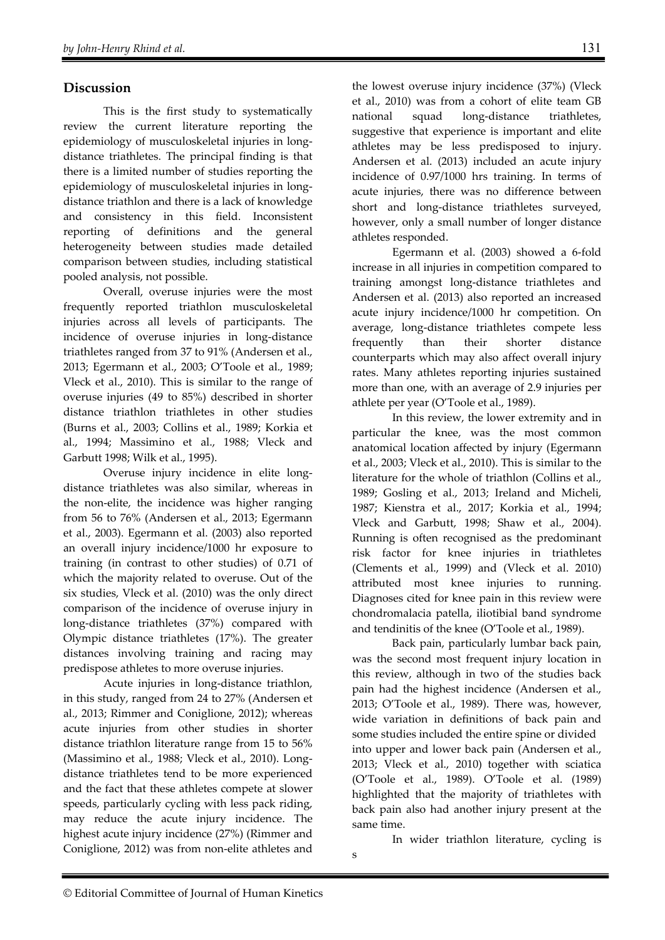# **Discussion**

This is the first study to systematically review the current literature reporting the epidemiology of musculoskeletal injuries in longdistance triathletes. The principal finding is that there is a limited number of studies reporting the epidemiology of musculoskeletal injuries in longdistance triathlon and there is a lack of knowledge and consistency in this field. Inconsistent reporting of definitions and the general heterogeneity between studies made detailed comparison between studies, including statistical pooled analysis, not possible.

Overall, overuse injuries were the most frequently reported triathlon musculoskeletal injuries across all levels of participants. The incidence of overuse injuries in long-distance triathletes ranged from 37 to 91% (Andersen et al., 2013; Egermann et al., 2003; O'Toole et al., 1989; Vleck et al., 2010). This is similar to the range of overuse injuries (49 to 85%) described in shorter distance triathlon triathletes in other studies (Burns et al., 2003; Collins et al., 1989; Korkia et al., 1994; Massimino et al., 1988; Vleck and Garbutt 1998; Wilk et al., 1995).

Overuse injury incidence in elite longdistance triathletes was also similar, whereas in the non-elite, the incidence was higher ranging from 56 to 76% (Andersen et al., 2013; Egermann et al., 2003). Egermann et al. (2003) also reported an overall injury incidence/1000 hr exposure to training (in contrast to other studies) of 0.71 of which the majority related to overuse. Out of the six studies, Vleck et al. (2010) was the only direct comparison of the incidence of overuse injury in long-distance triathletes (37%) compared with Olympic distance triathletes (17%). The greater distances involving training and racing may predispose athletes to more overuse injuries.

Acute injuries in long-distance triathlon, in this study, ranged from 24 to 27% (Andersen et al., 2013; Rimmer and Coniglione, 2012); whereas acute injuries from other studies in shorter distance triathlon literature range from 15 to 56% (Massimino et al., 1988; Vleck et al., 2010). Longdistance triathletes tend to be more experienced and the fact that these athletes compete at slower speeds, particularly cycling with less pack riding, may reduce the acute injury incidence. The highest acute injury incidence (27%) (Rimmer and Coniglione, 2012) was from non-elite athletes and

the lowest overuse injury incidence (37%) (Vleck et al., 2010) was from a cohort of elite team GB national squad long-distance triathletes, suggestive that experience is important and elite athletes may be less predisposed to injury. Andersen et al. (2013) included an acute injury incidence of 0.97/1000 hrs training. In terms of acute injuries, there was no difference between short and long-distance triathletes surveyed, however, only a small number of longer distance athletes responded.

Egermann et al. (2003) showed a 6-fold increase in all injuries in competition compared to training amongst long-distance triathletes and Andersen et al. (2013) also reported an increased acute injury incidence/1000 hr competition. On average, long-distance triathletes compete less frequently than their shorter distance counterparts which may also affect overall injury rates. Many athletes reporting injuries sustained more than one, with an average of 2.9 injuries per athlete per year (O'Toole et al., 1989).

In this review, the lower extremity and in particular the knee, was the most common anatomical location affected by injury (Egermann et al., 2003; Vleck et al., 2010). This is similar to the literature for the whole of triathlon (Collins et al., 1989; Gosling et al., 2013; Ireland and Micheli, 1987; Kienstra et al., 2017; Korkia et al., 1994; Vleck and Garbutt, 1998; Shaw et al., 2004). Running is often recognised as the predominant risk factor for knee injuries in triathletes (Clements et al., 1999) and (Vleck et al. 2010) attributed most knee injuries to running. Diagnoses cited for knee pain in this review were chondromalacia patella, iliotibial band syndrome and tendinitis of the knee (O'Toole et al., 1989).

Back pain, particularly lumbar back pain, was the second most frequent injury location in this review, although in two of the studies back pain had the highest incidence (Andersen et al., 2013; O'Toole et al., 1989). There was, however, wide variation in definitions of back pain and some studies included the entire spine or divided into upper and lower back pain (Andersen et al., 2013; Vleck et al., 2010) together with sciatica (O'Toole et al., 1989). O'Toole et al. (1989) highlighted that the majority of triathletes with back pain also had another injury present at the same time.

In wider triathlon literature, cycling is

s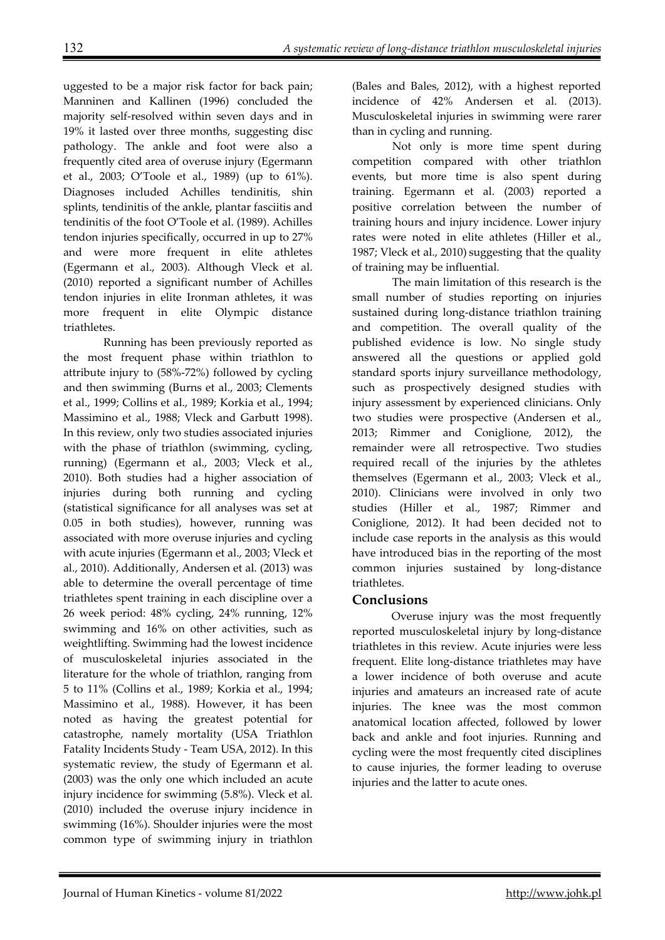uggested to be a major risk factor for back pain; Manninen and Kallinen (1996) concluded the majority self-resolved within seven days and in 19% it lasted over three months, suggesting disc pathology. The ankle and foot were also a frequently cited area of overuse injury (Egermann et al., 2003; O'Toole et al., 1989) (up to 61%). Diagnoses included Achilles tendinitis, shin splints, tendinitis of the ankle, plantar fasciitis and tendinitis of the foot O'Toole et al. (1989). Achilles tendon injuries specifically, occurred in up to 27% and were more frequent in elite athletes (Egermann et al., 2003). Although Vleck et al. (2010) reported a significant number of Achilles tendon injuries in elite Ironman athletes, it was more frequent in elite Olympic distance triathletes.

Running has been previously reported as the most frequent phase within triathlon to attribute injury to (58%-72%) followed by cycling and then swimming (Burns et al., 2003; Clements et al., 1999; Collins et al., 1989; Korkia et al., 1994; Massimino et al., 1988; Vleck and Garbutt 1998). In this review, only two studies associated injuries with the phase of triathlon (swimming, cycling, running) (Egermann et al., 2003; Vleck et al., 2010). Both studies had a higher association of injuries during both running and cycling (statistical significance for all analyses was set at 0.05 in both studies), however, running was associated with more overuse injuries and cycling with acute injuries (Egermann et al., 2003; Vleck et al., 2010). Additionally, Andersen et al. (2013) was able to determine the overall percentage of time triathletes spent training in each discipline over a 26 week period: 48% cycling, 24% running, 12% swimming and 16% on other activities, such as weightlifting. Swimming had the lowest incidence of musculoskeletal injuries associated in the literature for the whole of triathlon, ranging from 5 to 11% (Collins et al., 1989; Korkia et al., 1994; Massimino et al., 1988). However, it has been noted as having the greatest potential for catastrophe, namely mortality (USA Triathlon Fatality Incidents Study - Team USA, 2012). In this systematic review, the study of Egermann et al. (2003) was the only one which included an acute injury incidence for swimming (5.8%). Vleck et al. (2010) included the overuse injury incidence in swimming (16%). Shoulder injuries were the most common type of swimming injury in triathlon

(Bales and Bales, 2012), with a highest reported incidence of 42% Andersen et al. (2013). Musculoskeletal injuries in swimming were rarer than in cycling and running.

Not only is more time spent during competition compared with other triathlon events, but more time is also spent during training. Egermann et al. (2003) reported a positive correlation between the number of training hours and injury incidence. Lower injury rates were noted in elite athletes (Hiller et al., 1987; Vleck et al., 2010) suggesting that the quality of training may be influential.

The main limitation of this research is the small number of studies reporting on injuries sustained during long-distance triathlon training and competition. The overall quality of the published evidence is low. No single study answered all the questions or applied gold standard sports injury surveillance methodology, such as prospectively designed studies with injury assessment by experienced clinicians. Only two studies were prospective (Andersen et al., 2013; Rimmer and Coniglione, 2012), the remainder were all retrospective. Two studies required recall of the injuries by the athletes themselves (Egermann et al., 2003; Vleck et al., 2010). Clinicians were involved in only two studies (Hiller et al., 1987; Rimmer and Coniglione, 2012). It had been decided not to include case reports in the analysis as this would have introduced bias in the reporting of the most common injuries sustained by long-distance triathletes.

# **Conclusions**

Overuse injury was the most frequently reported musculoskeletal injury by long-distance triathletes in this review. Acute injuries were less frequent. Elite long-distance triathletes may have a lower incidence of both overuse and acute injuries and amateurs an increased rate of acute injuries. The knee was the most common anatomical location affected, followed by lower back and ankle and foot injuries. Running and cycling were the most frequently cited disciplines to cause injuries, the former leading to overuse injuries and the latter to acute ones.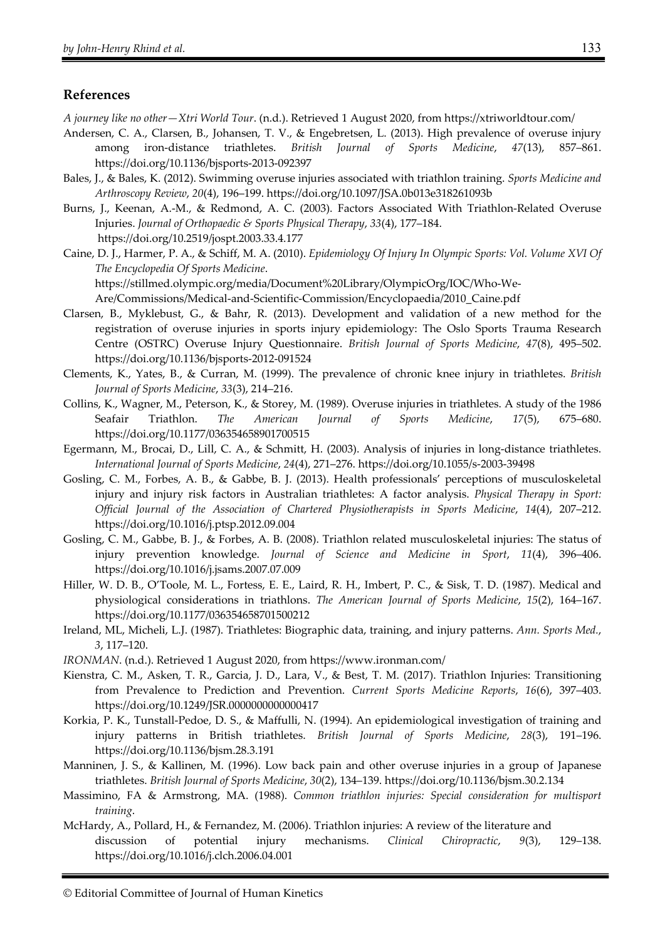#### **References**

- *A journey like no other—Xtri World Tour*. (n.d.). Retrieved 1 August 2020, from https://xtriworldtour.com/
- Andersen, C. A., Clarsen, B., Johansen, T. V., & Engebretsen, L. (2013). High prevalence of overuse injury among iron-distance triathletes. *British Journal of Sports Medicine*, *47*(13), 857–861. https://doi.org/10.1136/bjsports-2013-092397
- Bales, J., & Bales, K. (2012). Swimming overuse injuries associated with triathlon training. *Sports Medicine and Arthroscopy Review*, *20*(4), 196–199. https://doi.org/10.1097/JSA.0b013e318261093b
- Burns, J., Keenan, A.-M., & Redmond, A. C. (2003). Factors Associated With Triathlon-Related Overuse Injuries. *Journal of Orthopaedic & Sports Physical Therapy*, *33*(4), 177–184. https://doi.org/10.2519/jospt.2003.33.4.177
- Caine, D. J., Harmer, P. A., & Schiff, M. A. (2010). *Epidemiology Of Injury In Olympic Sports: Vol. Volume XVI Of The Encyclopedia Of Sports Medicine*. https://stillmed.olympic.org/media/Document%20Library/OlympicOrg/IOC/Who-We-Are/Commissions/Medical-and-Scientific-Commission/Encyclopaedia/2010\_Caine.pdf
- Clarsen, B., Myklebust, G., & Bahr, R. (2013). Development and validation of a new method for the registration of overuse injuries in sports injury epidemiology: The Oslo Sports Trauma Research Centre (OSTRC) Overuse Injury Questionnaire. *British Journal of Sports Medicine*, *47*(8), 495–502. https://doi.org/10.1136/bjsports-2012-091524
- Clements, K., Yates, B., & Curran, M. (1999). The prevalence of chronic knee injury in triathletes. *British Journal of Sports Medicine*, *33*(3), 214–216.
- Collins, K., Wagner, M., Peterson, K., & Storey, M. (1989). Overuse injuries in triathletes. A study of the 1986 Seafair Triathlon. *The American Journal of Sports Medicine*, *17*(5), 675–680. https://doi.org/10.1177/036354658901700515
- Egermann, M., Brocai, D., Lill, C. A., & Schmitt, H. (2003). Analysis of injuries in long-distance triathletes. *International Journal of Sports Medicine*, *24*(4), 271–276. https://doi.org/10.1055/s-2003-39498
- Gosling, C. M., Forbes, A. B., & Gabbe, B. J. (2013). Health professionals' perceptions of musculoskeletal injury and injury risk factors in Australian triathletes: A factor analysis. *Physical Therapy in Sport: Official Journal of the Association of Chartered Physiotherapists in Sports Medicine*, *14*(4), 207–212. https://doi.org/10.1016/j.ptsp.2012.09.004
- Gosling, C. M., Gabbe, B. J., & Forbes, A. B. (2008). Triathlon related musculoskeletal injuries: The status of injury prevention knowledge. *Journal of Science and Medicine in Sport*, *11*(4), 396–406. https://doi.org/10.1016/j.jsams.2007.07.009
- Hiller, W. D. B., O'Toole, M. L., Fortess, E. E., Laird, R. H., Imbert, P. C., & Sisk, T. D. (1987). Medical and physiological considerations in triathlons. *The American Journal of Sports Medicine*, *15*(2), 164–167. https://doi.org/10.1177/036354658701500212
- Ireland, ML, Micheli, L.J. (1987). Triathletes: Biographic data, training, and injury patterns. *Ann. Sports Med.*, *3*, 117–120.
- *IRONMAN*. (n.d.). Retrieved 1 August 2020, from https://www.ironman.com/
- Kienstra, C. M., Asken, T. R., Garcia, J. D., Lara, V., & Best, T. M. (2017). Triathlon Injuries: Transitioning from Prevalence to Prediction and Prevention. *Current Sports Medicine Reports*, *16*(6), 397–403. https://doi.org/10.1249/JSR.0000000000000417
- Korkia, P. K., Tunstall-Pedoe, D. S., & Maffulli, N. (1994). An epidemiological investigation of training and injury patterns in British triathletes. *British Journal of Sports Medicine*, *28*(3), 191–196. https://doi.org/10.1136/bjsm.28.3.191
- Manninen, J. S., & Kallinen, M. (1996). Low back pain and other overuse injuries in a group of Japanese triathletes. *British Journal of Sports Medicine*, *30*(2), 134–139. https://doi.org/10.1136/bjsm.30.2.134
- Massimino, FA & Armstrong, MA. (1988). *Common triathlon injuries: Special consideration for multisport training*.
- McHardy, A., Pollard, H., & Fernandez, M. (2006). Triathlon injuries: A review of the literature and discussion of potential injury mechanisms. *Clinical Chiropractic*, *9*(3), 129–138. https://doi.org/10.1016/j.clch.2006.04.001